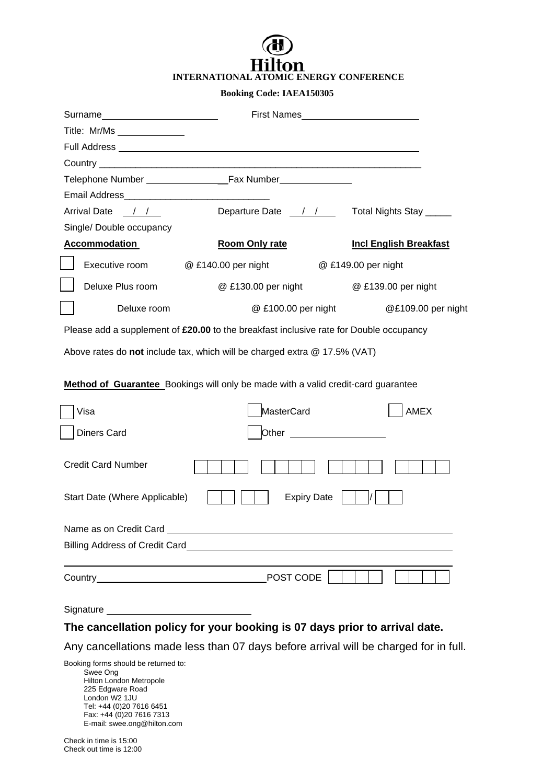## m **INTERNATIONAL ATOMIC ENERGY CONFERENCE**

## **Booking Code: IAEA150305**

|                                                                                        | First Names <b>Example 2018</b>                                                                                                                                                                                                               |                               |
|----------------------------------------------------------------------------------------|-----------------------------------------------------------------------------------------------------------------------------------------------------------------------------------------------------------------------------------------------|-------------------------------|
| Title: Mr/Ms _______________                                                           |                                                                                                                                                                                                                                               |                               |
|                                                                                        |                                                                                                                                                                                                                                               |                               |
|                                                                                        |                                                                                                                                                                                                                                               |                               |
|                                                                                        | Telephone Number <b>Community</b> Case Number                                                                                                                                                                                                 |                               |
|                                                                                        |                                                                                                                                                                                                                                               |                               |
| Arrival Date / /                                                                       | Departure Date 11 / Total Nights Stay                                                                                                                                                                                                         |                               |
| Single/ Double occupancy                                                               |                                                                                                                                                                                                                                               |                               |
| <b>Accommodation</b>                                                                   | Room Only rate                                                                                                                                                                                                                                | <b>Incl English Breakfast</b> |
| Executive room                                                                         | @ £140.00 per night                                                                                                                                                                                                                           | @ £149.00 per night           |
| Deluxe Plus room                                                                       | @ £130.00 per night                                                                                                                                                                                                                           | @ £139.00 per night           |
| Deluxe room                                                                            | @ £100.00 per night                                                                                                                                                                                                                           | @£109.00 per night            |
| Please add a supplement of £20.00 to the breakfast inclusive rate for Double occupancy |                                                                                                                                                                                                                                               |                               |
| Above rates do not include tax, which will be charged extra @ 17.5% (VAT)              |                                                                                                                                                                                                                                               |                               |
|                                                                                        | <b>Method of Guarantee</b> Bookings will only be made with a valid credit-card guarantee                                                                                                                                                      |                               |
| Visa                                                                                   | MasterCard                                                                                                                                                                                                                                    | <b>AMEX</b>                   |
| <b>Diners Card</b>                                                                     | Other<br><u>and the company of the company of the company of the company of the company of the company of the company of the company of the company of the company of the company of the company of the company of the company of the com</u> |                               |
| <b>Credit Card Number</b>                                                              |                                                                                                                                                                                                                                               |                               |
| Start Date (Where Applicable)                                                          | <b>Expiry Date</b>                                                                                                                                                                                                                            |                               |
| Name as on Credit Card                                                                 |                                                                                                                                                                                                                                               |                               |
| Billing Address of Credit Card                                                         |                                                                                                                                                                                                                                               |                               |
|                                                                                        | POST CODE                                                                                                                                                                                                                                     |                               |

Signature

## **The cancellation policy for your booking is 07 days prior to arrival date.**

Any cancellations made less than 07 days before arrival will be charged for in full.

Booking forms should be returned to: Swee Ong Hilton London Metropole 225 Edgware Road London W2 1JU Tel: +44 (0)20 7616 6451 Fax: +44 (0)20 7616 7313 E-mail: swee.ong@hilton.com

Check in time is 15:00 Check out time is 12:00